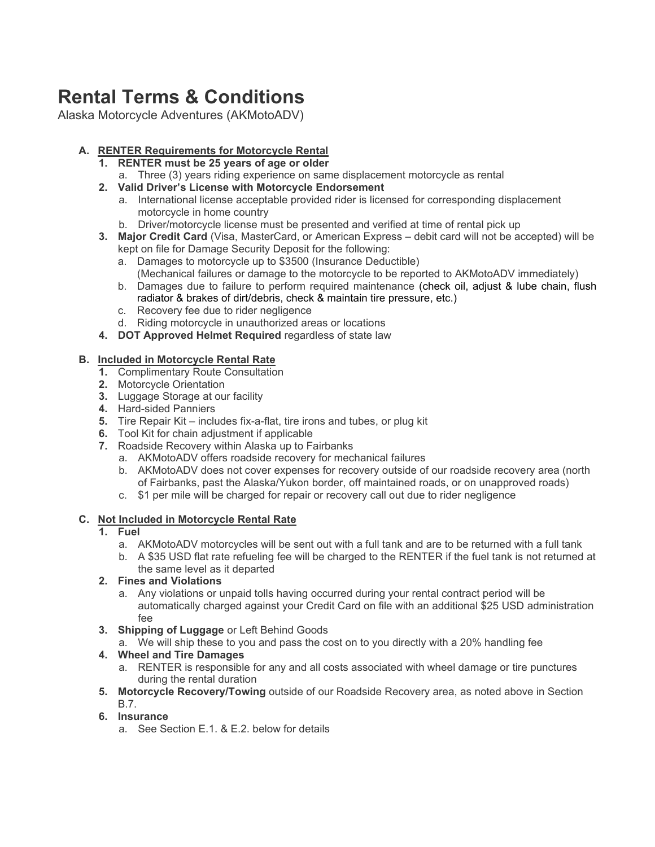# **Rental Terms & Conditions**

Alaska Motorcycle Adventures (AKMotoADV)

# **A. RENTER Requirements for Motorcycle Rental**

- **1. RENTER must be 25 years of age or older**
- a. Three (3) years riding experience on same displacement motorcycle as rental
- **2. Valid Driver's License with Motorcycle Endorsement**
	- a. International license acceptable provided rider is licensed for corresponding displacement motorcycle in home country
	- b. Driver/motorcycle license must be presented and verified at time of rental pick up
- **3. Major Credit Card** (Visa, MasterCard, or American Express debit card will not be accepted) will be kept on file for Damage Security Deposit for the following:
	- a. Damages to motorcycle up to \$3500 (Insurance Deductible) (Mechanical failures or damage to the motorcycle to be reported to AKMotoADV immediately)
	- b. Damages due to failure to perform required maintenance (check oil, adjust & lube chain, flush radiator & brakes of dirt/debris, check & maintain tire pressure, etc.)
	- c. Recovery fee due to rider negligence
	- d. Riding motorcycle in unauthorized areas or locations
- **4. DOT Approved Helmet Required** regardless of state law

# **B. Included in Motorcycle Rental Rate**

- **1.** Complimentary Route Consultation
- **2.** Motorcycle Orientation
- **3.** Luggage Storage at our facility
- **4.** Hard-sided Panniers
- **5.** Tire Repair Kit includes fix-a-flat, tire irons and tubes, or plug kit
- **6.** Tool Kit for chain adjustment if applicable
- **7.** Roadside Recovery within Alaska up to Fairbanks
	- a. AKMotoADV offers roadside recovery for mechanical failures
	- b. AKMotoADV does not cover expenses for recovery outside of our roadside recovery area (north of Fairbanks, past the Alaska/Yukon border, off maintained roads, or on unapproved roads)
	- c. \$1 per mile will be charged for repair or recovery call out due to rider negligence

## **C. Not Included in Motorcycle Rental Rate**

#### **1. Fuel**

- a. AKMotoADV motorcycles will be sent out with a full tank and are to be returned with a full tank
- b. A \$35 USD flat rate refueling fee will be charged to the RENTER if the fuel tank is not returned at the same level as it departed

## **2. Fines and Violations**

- a. Any violations or unpaid tolls having occurred during your rental contract period will be automatically charged against your Credit Card on file with an additional \$25 USD administration fee
- **3. Shipping of Luggage** or Left Behind Goods
	- a. We will ship these to you and pass the cost on to you directly with a 20% handling fee

## **4. Wheel and Tire Damages**

- a. RENTER is responsible for any and all costs associated with wheel damage or tire punctures during the rental duration
- **5. Motorcycle Recovery/Towing** outside of our Roadside Recovery area, as noted above in Section B.7.

## **6. Insurance**

a. See Section E.1. & E.2. below for details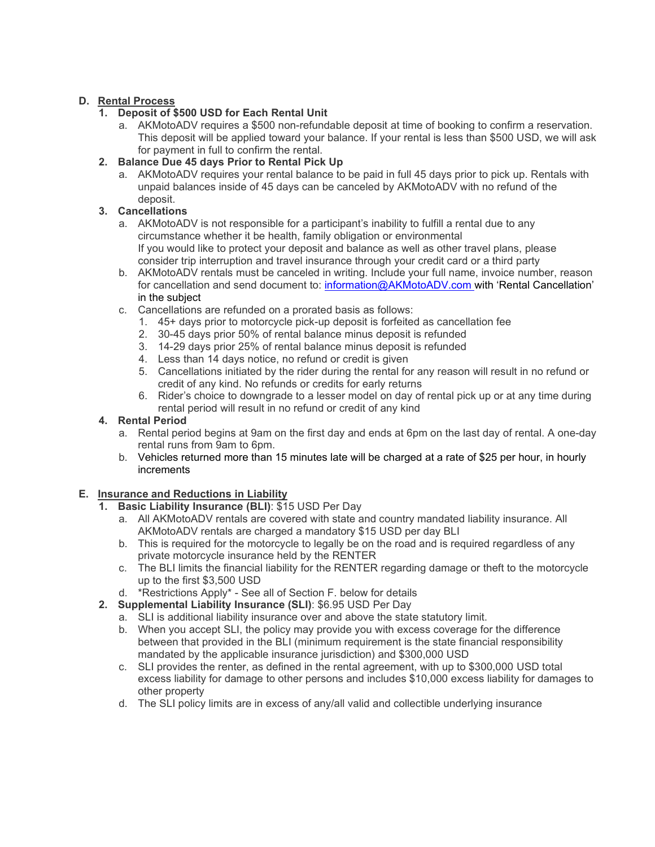## **D. Rental Process**

## **1. Deposit of \$500 USD for Each Rental Unit**

a. AKMotoADV requires a \$500 non-refundable deposit at time of booking to confirm a reservation. This deposit will be applied toward your balance. If your rental is less than \$500 USD, we will ask for payment in full to confirm the rental.

## **2. Balance Due 45 days Prior to Rental Pick Up**

a. AKMotoADV requires your rental balance to be paid in full 45 days prior to pick up. Rentals with unpaid balances inside of 45 days can be canceled by AKMotoADV with no refund of the deposit.

## **3. Cancellations**

- a. AKMotoADV is not responsible for a participant's inability to fulfill a rental due to any circumstance whether it be health, family obligation or environmental If you would like to protect your deposit and balance as well as other travel plans, please consider trip interruption and travel insurance through your credit card or a third party
- b. AKMotoADV rentals must be canceled in writing. Include your full name, invoice number, reason for cancellation and send document to: [information@AKMotoADV.com](mailto:information@akmotoadv.com) with 'Rental Cancellation' in the subject
- c. Cancellations are refunded on a prorated basis as follows:
	- 1. 45+ days prior to motorcycle pick-up deposit is forfeited as cancellation fee
	- 2. 30-45 days prior 50% of rental balance minus deposit is refunded
	- 3. 14-29 days prior 25% of rental balance minus deposit is refunded
	- 4. Less than 14 days notice, no refund or credit is given
	- 5. Cancellations initiated by the rider during the rental for any reason will result in no refund or credit of any kind. No refunds or credits for early returns
	- 6. Rider's choice to downgrade to a lesser model on day of rental pick up or at any time during rental period will result in no refund or credit of any kind

#### **4. Rental Period**

- a. Rental period begins at 9am on the first day and ends at 6pm on the last day of rental. A one-day rental runs from 9am to 6pm.
- b. Vehicles returned more than 15 minutes late will be charged at a rate of \$25 per hour, in hourly increments

## **E. Insurance and Reductions in Liability**

- **1. Basic Liability Insurance (BLI)**: \$15 USD Per Day
	- a. All AKMotoADV rentals are covered with state and country mandated liability insurance. All AKMotoADV rentals are charged a mandatory \$15 USD per day BLI
	- b. This is required for the motorcycle to legally be on the road and is required regardless of any private motorcycle insurance held by the RENTER
	- c. The BLI limits the financial liability for the RENTER regarding damage or theft to the motorcycle up to the first \$3,500 USD
	- d. \*Restrictions Apply\* See all of Section F. below for details
- **2. Supplemental Liability Insurance (SLI)**: \$6.95 USD Per Day
	- a. SLI is additional liability insurance over and above the state statutory limit.
	- b. When you accept SLI, the policy may provide you with excess coverage for the difference between that provided in the BLI (minimum requirement is the state financial responsibility mandated by the applicable insurance jurisdiction) and \$300,000 USD
	- c. SLI provides the renter, as defined in the rental agreement, with up to \$300,000 USD total excess liability for damage to other persons and includes \$10,000 excess liability for damages to other property
	- d. The SLI policy limits are in excess of any/all valid and collectible underlying insurance